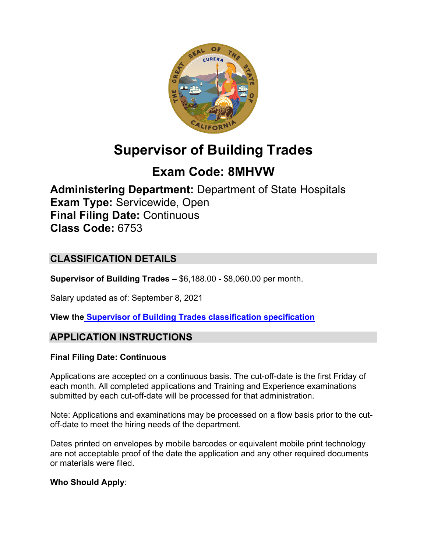

# **Supervisor of Building Trades**

# **Exam Code: 8MHVW**

**Administering Department:** Department of State Hospitals **Exam Type:** Servicewide, Open **Final Filing Date:** Continuous **Class Code:** 6753

# **CLASSIFICATION DETAILS**

**Supervisor of Building Trades –** \$6,188.00 - \$8,060.00 per month.

Salary updated as of: September 8, 2021

**View the [Supervisor of Building Trades classification](https://www.calhr.ca.gov/state-hr-professionals/pages/6753.aspx) specification**

## **APPLICATION INSTRUCTIONS**

#### **Final Filing Date: Continuous**

Applications are accepted on a continuous basis. The cut-off-date is the first Friday of each month. All completed applications and Training and Experience examinations submitted by each cut-off-date will be processed for that administration.

Note: Applications and examinations may be processed on a flow basis prior to the cutoff-date to meet the hiring needs of the department.

Dates printed on envelopes by mobile barcodes or equivalent mobile print technology are not acceptable proof of the date the application and any other required documents or materials were filed.

#### **Who Should Apply**: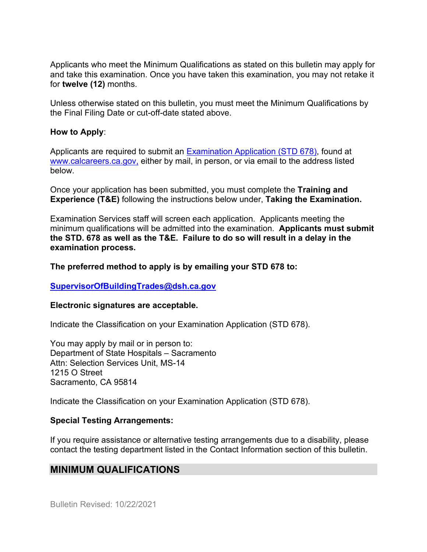Applicants who meet the Minimum Qualifications as stated on this bulletin may apply for and take this examination. Once you have taken this examination, you may not retake it for **twelve (12)** months.

Unless otherwise stated on this bulletin, you must meet the Minimum Qualifications by the Final Filing Date or cut-off-date stated above.

#### **How to Apply**:

Applicants are required to submit an [Examination Application \(STD 678\),](https://jobs.ca.gov/pdf/std678.pdf) found at [www.calcareers.ca.gov,](http://www.calcareers.ca.gov/) either by mail, in person, or via email to the address listed below.

Once your application has been submitted, you must complete the **Training and Experience (T&E)** following the instructions below under, **Taking the Examination.**

Examination Services staff will screen each application. Applicants meeting the minimum qualifications will be admitted into the examination. **Applicants must submit the STD. 678 as well as the T&E. Failure to do so will result in a delay in the examination process.**

#### **The preferred method to apply is by emailing your STD 678 to:**

#### **[SupervisorOfBuildingTrades@dsh.ca.gov](mailto:SupervisorOfBuildingTrades@dsh.ca.gov)**

#### **Electronic signatures are acceptable.**

Indicate the Classification on your Examination Application (STD 678).

You may apply by mail or in person to: Department of State Hospitals – Sacramento Attn: Selection Services Unit, MS-14 1215 O Street Sacramento, CA 95814

Indicate the Classification on your Examination Application (STD 678).

#### **Special Testing Arrangements:**

If you require assistance or alternative testing arrangements due to a disability, please contact the testing department listed in the Contact Information section of this bulletin.

## **MINIMUM QUALIFICATIONS**

Bulletin Revised: 10/22/2021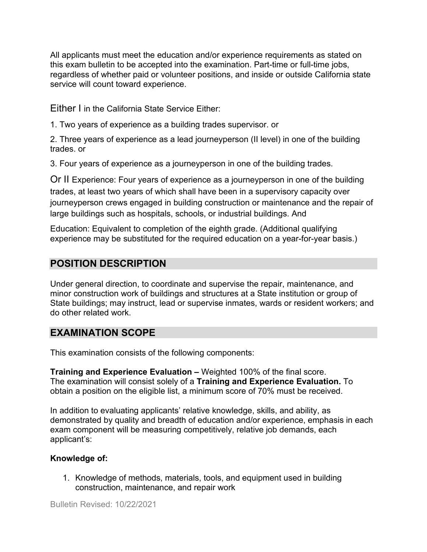All applicants must meet the education and/or experience requirements as stated on this exam bulletin to be accepted into the examination. Part-time or full-time jobs, regardless of whether paid or volunteer positions, and inside or outside California state service will count toward experience.

Either I in the California State Service Either:

1. Two years of experience as a building trades supervisor. or

2. Three years of experience as a lead journeyperson (II level) in one of the building trades. or

3. Four years of experience as a journeyperson in one of the building trades.

Or II Experience: Four years of experience as a journeyperson in one of the building trades, at least two years of which shall have been in a supervisory capacity over journeyperson crews engaged in building construction or maintenance and the repair of large buildings such as hospitals, schools, or industrial buildings. And

Education: Equivalent to completion of the eighth grade. (Additional qualifying experience may be substituted for the required education on a year-for-year basis.)

# **POSITION DESCRIPTION**

Under general direction, to coordinate and supervise the repair, maintenance, and minor construction work of buildings and structures at a State institution or group of State buildings; may instruct, lead or supervise inmates, wards or resident workers; and do other related work.

## **EXAMINATION SCOPE**

This examination consists of the following components:

**Training and Experience Evaluation –** Weighted 100% of the final score. The examination will consist solely of a **Training and Experience Evaluation.** To obtain a position on the eligible list, a minimum score of 70% must be received.

In addition to evaluating applicants' relative knowledge, skills, and ability, as demonstrated by quality and breadth of education and/or experience, emphasis in each exam component will be measuring competitively, relative job demands, each applicant's:

#### **Knowledge of:**

1. Knowledge of methods, materials, tools, and equipment used in building construction, maintenance, and repair work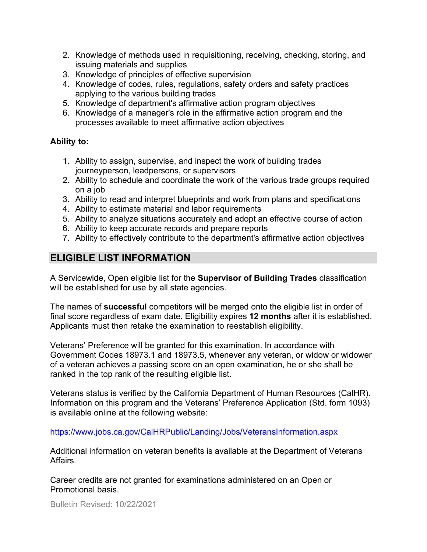- 2. Knowledge of methods used in requisitioning, receiving, checking, storing, and issuing materials and supplies
- 3. Knowledge of principles of effective supervision
- 4. Knowledge of codes, rules, regulations, safety orders and safety practices applying to the various building trades
- 5. Knowledge of department's affirmative action program objectives
- 6. Knowledge of a manager's role in the affirmative action program and the processes available to meet affirmative action objectives

#### **Ability to:**

- 1. Ability to assign, supervise, and inspect the work of building trades journeyperson, leadpersons, or supervisors
- 2. Ability to schedule and coordinate the work of the various trade groups required on a job
- 3. Ability to read and interpret blueprints and work from plans and specifications
- 4. Ability to estimate material and labor requirements
- 5. Ability to analyze situations accurately and adopt an effective course of action
- 6. Ability to keep accurate records and prepare reports
- 7. Ability to effectively contribute to the department's affirmative action objectives

# **ELIGIBLE LIST INFORMATION**

A Servicewide, Open eligible list for the **Supervisor of Building Trades** classification will be established for use by all state agencies.

The names of **successful** competitors will be merged onto the eligible list in order of final score regardless of exam date. Eligibility expires **12 months** after it is established. Applicants must then retake the examination to reestablish eligibility.

Veterans' Preference will be granted for this examination. In accordance with Government Codes 18973.1 and 18973.5, whenever any veteran, or widow or widower of a veteran achieves a passing score on an open examination, he or she shall be ranked in the top rank of the resulting eligible list.

Veterans status is verified by the California Department of Human Resources (CalHR). Information on this program and the Veterans' Preference Application (Std. form 1093) is available online at the following website:

<https://www.jobs.ca.gov/CalHRPublic/Landing/Jobs/VeteransInformation.aspx>

Additional information on veteran benefits is available at the Department of Veterans Affairs.

Career credits are not granted for examinations administered on an Open or Promotional basis.

Bulletin Revised: 10/22/2021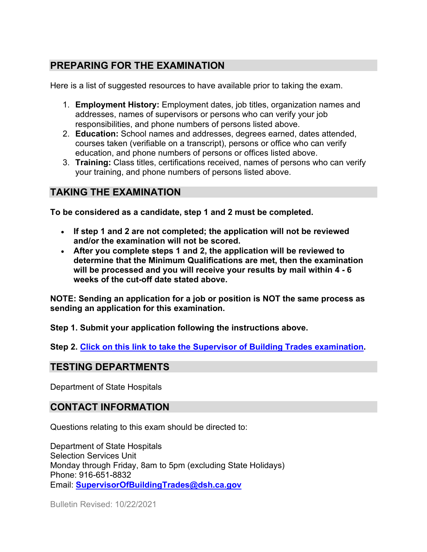# **PREPARING FOR THE EXAMINATION**

Here is a list of suggested resources to have available prior to taking the exam.

- 1. **Employment History:** Employment dates, job titles, organization names and addresses, names of supervisors or persons who can verify your job responsibilities, and phone numbers of persons listed above.
- 2. **Education:** School names and addresses, degrees earned, dates attended, courses taken (verifiable on a transcript), persons or office who can verify education, and phone numbers of persons or offices listed above.
- 3. **Training:** Class titles, certifications received, names of persons who can verify your training, and phone numbers of persons listed above.

# **TAKING THE EXAMINATION**

**To be considered as a candidate, step 1 and 2 must be completed.**

- **If step 1 and 2 are not completed; the application will not be reviewed and/or the examination will not be scored.**
- **After you complete steps 1 and 2, the application will be reviewed to determine that the Minimum Qualifications are met, then the examination will be processed and you will receive your results by mail within 4 - 6 weeks of the cut-off date stated above.**

**NOTE: Sending an application for a job or position is NOT the same process as sending an application for this examination.**

**Step 1. Submit your application following the instructions above.**

**Step 2. [Click on this link to take the Supervisor of Building Trades](https://www.surveymonkey.com/r/PMYMSC6) examination.**

## **TESTING DEPARTMENTS**

Department of State Hospitals

## **CONTACT INFORMATION**

Questions relating to this exam should be directed to:

Department of State Hospitals Selection Services Unit Monday through Friday, 8am to 5pm (excluding State Holidays) Phone: 916-651-8832 Email: **[SupervisorOfBuildingTrades@dsh.ca.gov](mailto:SupervisorOfBuildingTrades@dsh.ca.gov)**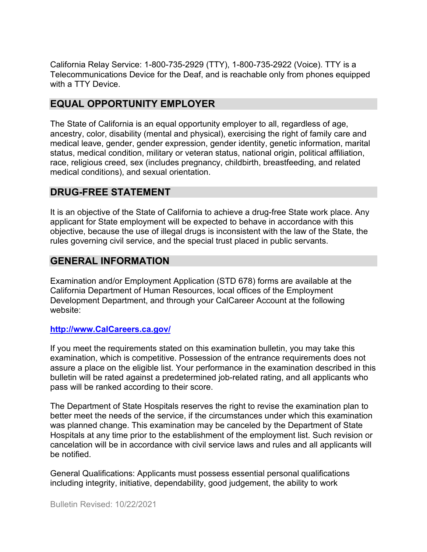California Relay Service: 1-800-735-2929 (TTY), 1-800-735-2922 (Voice). TTY is a Telecommunications Device for the Deaf, and is reachable only from phones equipped with a TTY Device.

## **EQUAL OPPORTUNITY EMPLOYER**

The State of California is an equal opportunity employer to all, regardless of age, ancestry, color, disability (mental and physical), exercising the right of family care and medical leave, gender, gender expression, gender identity, genetic information, marital status, medical condition, military or veteran status, national origin, political affiliation, race, religious creed, sex (includes pregnancy, childbirth, breastfeeding, and related medical conditions), and sexual orientation.

## **DRUG-FREE STATEMENT**

It is an objective of the State of California to achieve a drug-free State work place. Any applicant for State employment will be expected to behave in accordance with this objective, because the use of illegal drugs is inconsistent with the law of the State, the rules governing civil service, and the special trust placed in public servants.

## **GENERAL INFORMATION**

Examination and/or Employment Application (STD 678) forms are available at the California Department of Human Resources, local offices of the Employment Development Department, and through your CalCareer Account at the following website:

#### **[http://www.CalCareers.ca.gov/](http://www.calcareers.ca.gov/)**

If you meet the requirements stated on this examination bulletin, you may take this examination, which is competitive. Possession of the entrance requirements does not assure a place on the eligible list. Your performance in the examination described in this bulletin will be rated against a predetermined job-related rating, and all applicants who pass will be ranked according to their score.

The Department of State Hospitals reserves the right to revise the examination plan to better meet the needs of the service, if the circumstances under which this examination was planned change. This examination may be canceled by the Department of State Hospitals at any time prior to the establishment of the employment list. Such revision or cancelation will be in accordance with civil service laws and rules and all applicants will be notified.

General Qualifications: Applicants must possess essential personal qualifications including integrity, initiative, dependability, good judgement, the ability to work